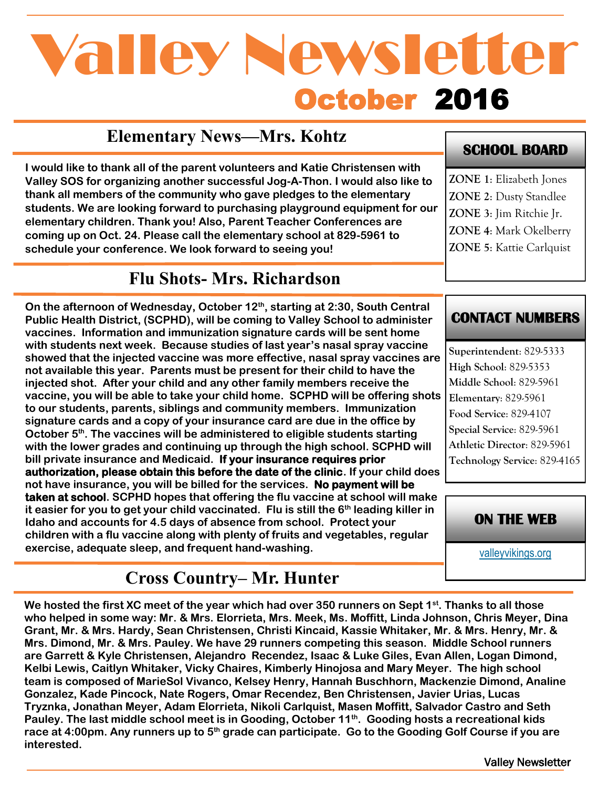# October 2016 Valley Newsletter

## **Elementary News—Mrs. Kohtz**

**I would like to thank all of the parent volunteers and Katie Christensen with Valley SOS for organizing another successful Jog-A-Thon. I would also like to thank all members of the community who gave pledges to the elementary students. We are looking forward to purchasing playground equipment for our elementary children. Thank you! Also, Parent Teacher Conferences are coming up on Oct. 24. Please call the elementary school at 829-5961 to schedule your conference. We look forward to seeing you!** 

## **Flu Shots- Mrs. Richardson**

**On the afternoon of Wednesday, October 12th, starting at 2:30, South Central Public Health District, (SCPHD), will be coming to Valley School to administer vaccines. Information and immunization signature cards will be sent home with students next week. Because studies of last year's nasal spray vaccine showed that the injected vaccine was more effective, nasal spray vaccines are not available this year. Parents must be present for their child to have the injected shot. After your child and any other family members receive the vaccine, you will be able to take your child home. SCPHD will be offering shots to our students, parents, siblings and community members. Immunization signature cards and a copy of your insurance card are due in the office by October 5th. The vaccines will be administered to eligible students starting with the lower grades and continuing up through the high school. SCPHD will bill private insurance and Medicaid. If your insurance requires prior authorization, please obtain this before the date of the clinic. If your child does not have insurance, you will be billed for the services. No payment will be taken at school. SCPHD hopes that offering the flu vaccine at school will make it easier for you to get your child vaccinated. Flu is still the 6th leading killer in Idaho and accounts for 4.5 days of absence from school. Protect your children with a flu vaccine along with plenty of fruits and vegetables, regular exercise, adequate sleep, and frequent hand-washing.** 

## **Cross Country– Mr. Hunter**

**We hosted the first XC meet of the year which had over 350 runners on Sept 1st. Thanks to all those who helped in some way: Mr. & Mrs. Elorrieta, Mrs. Meek, Ms. Moffitt, Linda Johnson, Chris Meyer, Dina Grant, Mr. & Mrs. Hardy, Sean Christensen, Christi Kincaid, Kassie Whitaker, Mr. & Mrs. Henry, Mr. & Mrs. Dimond, Mr. & Mrs. Pauley. We have 29 runners competing this season. Middle School runners are Garrett & Kyle Christensen, Alejandro Recendez, Isaac & Luke Giles, Evan Allen, Logan Dimond, Kelbi Lewis, Caitlyn Whitaker, Vicky Chaires, Kimberly Hinojosa and Mary Meyer. The high school team is composed of MarieSol Vivanco, Kelsey Henry, Hannah Buschhorn, Mackenzie Dimond, Analine Gonzalez, Kade Pincock, Nate Rogers, Omar Recendez, Ben Christensen, Javier Urias, Lucas Tryznka, Jonathan Meyer, Adam Elorrieta, Nikoli Carlquist, Masen Moffitt, Salvador Castro and Seth Pauley. The last middle school meet is in Gooding, October 11th. Gooding hosts a recreational kids race at 4:00pm. Any runners up to 5th grade can participate. Go to the Gooding Golf Course if you are interested.** 

#### **SCHOOL BOARD**

**ZONE 1**: Elizabeth Jones **ZONE 2**: Dusty Standlee **ZONE 3**: Jim Ritchie Jr. **ZONE 4**: Mark Okelberry **ZONE 5**: Kattie Carlquist

#### **CONTACT NUMBERS**

**Superintendent**: 829-5333 **High School**: 829-5353 **Middle School**: 829-5961 **Elementary**: 829-5961 **Food Service**: 829-4107 **Special Service**: 829-5961 **Athletic Director**: 829-5961 **Technology Service**: 829-4165



[valleyvikings.org](http://www.valleyvikings.org/)

Valley Newsletter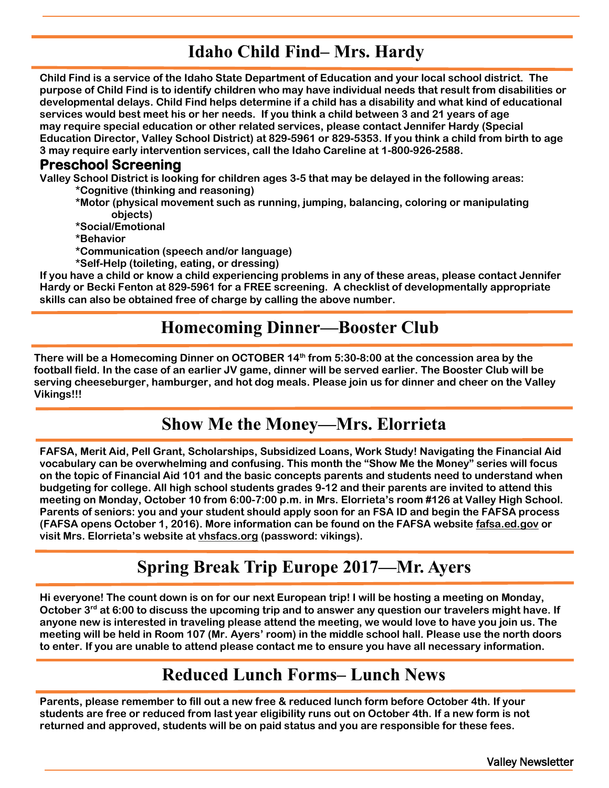## **Idaho Child Find– Mrs. Hardy**

**Child Find is a service of the Idaho State Department of Education and your local school district. The purpose of Child Find is to identify children who may have individual needs that result from disabilities or developmental delays. Child Find helps determine if a child has a disability and what kind of educational services would best meet his or her needs. If you think a child between 3 and 21 years of age may require special education or other related services, please contact Jennifer Hardy (Special Education Director, Valley School District) at 829-5961 or 829-5353. If you think a child from birth to age 3 may require early intervention services, call the Idaho Careline at 1-800-926-2588.** 

#### **Preschool Screening**

**Valley School District is looking for children ages 3-5 that may be delayed in the following areas: \*Cognitive (thinking and reasoning)**

**\*Motor (physical movement such as running, jumping, balancing, coloring or manipulating objects)**

**\*Social/Emotional**

**\*Behavior**

- **\*Communication (speech and/or language)**
- **\*Self-Help (toileting, eating, or dressing)**

**If you have a child or know a child experiencing problems in any of these areas, please contact Jennifer Hardy or Becki Fenton at 829-5961 for a FREE screening. A checklist of developmentally appropriate skills can also be obtained free of charge by calling the above number.** 

#### **Homecoming Dinner—Booster Club**

**There will be a Homecoming Dinner on OCTOBER 14th from 5:30-8:00 at the concession area by the football field. In the case of an earlier JV game, dinner will be served earlier. The Booster Club will be serving cheeseburger, hamburger, and hot dog meals. Please join us for dinner and cheer on the Valley Vikings!!!**

## **Show Me the Money—Mrs. Elorrieta**

**FAFSA, Merit Aid, Pell Grant, Scholarships, Subsidized Loans, Work Study! Navigating the Financial Aid vocabulary can be overwhelming and confusing. This month the "Show Me the Money" series will focus on the topic of Financial Aid 101 and the basic concepts parents and students need to understand when budgeting for college. All high school students grades 9-12 and their parents are invited to attend this meeting on Monday, October 10 from 6:00-7:00 p.m. in Mrs. Elorrieta's room #126 at Valley High School. Parents of seniors: you and your student should apply soon for an FSA ID and begin the FAFSA process (FAFSA opens October 1, 2016). More information can be found on the FAFSA website fafsa.ed.gov or visit Mrs. Elorrieta's website at vhsfacs.org (password: vikings).**

## **Spring Break Trip Europe 2017—Mr. Ayers**

**Hi everyone! The count down is on for our next European trip! I will be hosting a meeting on Monday, October 3rd at 6:00 to discuss the upcoming trip and to answer any question our travelers might have. If anyone new is interested in traveling please attend the meeting, we would love to have you join us. The meeting will be held in Room 107 (Mr. Ayers' room) in the middle school hall. Please use the north doors to enter. If you are unable to attend please contact me to ensure you have all necessary information.**

### **Reduced Lunch Forms– Lunch News**

**Parents, please remember to fill out a new free & reduced lunch form before October 4th. If your students are free or reduced from last year eligibility runs out on October 4th. If a new form is not returned and approved, students will be on paid status and you are responsible for these fees.**